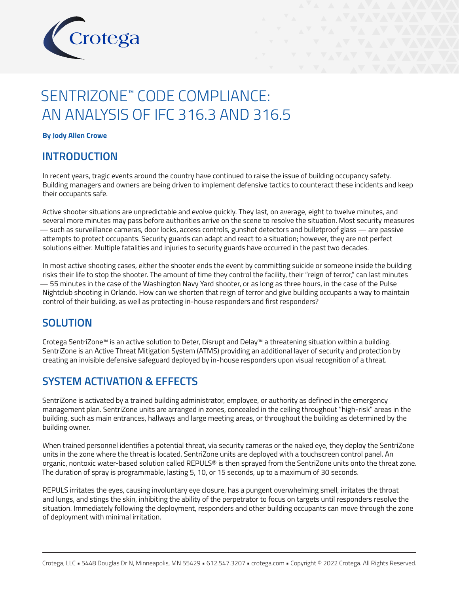

# SENTRIZONE™ CODE COMPLIANCE: AN ANALYSIS OF IFC 316.3 AND 316.5

#### **By Jody Allen Crowe**

### **INTRODUCTION**

In recent years, tragic events around the country have continued to raise the issue of building occupancy safety. Building managers and owners are being driven to implement defensive tactics to counteract these incidents and keep their occupants safe.

Active shooter situations are unpredictable and evolve quickly. They last, on average, eight to twelve minutes, and several more minutes may pass before authorities arrive on the scene to resolve the situation. Most security measures — such as surveillance cameras, door locks, access controls, gunshot detectors and bulletproof glass — are passive attempts to protect occupants. Security guards can adapt and react to a situation; however, they are not perfect solutions either. Multiple fatalities and injuries to security guards have occurred in the past two decades.

In most active shooting cases, either the shooter ends the event by committing suicide or someone inside the building risks their life to stop the shooter. The amount of time they control the facility, their "reign of terror," can last minutes — 55 minutes in the case of the Washington Navy Yard shooter, or as long as three hours, in the case of the Pulse Nightclub shooting in Orlando. How can we shorten that reign of terror and give building occupants a way to maintain control of their building, as well as protecting in-house responders and first responders?

### **SOLUTION**

Crotega SentriZone™ is an active solution to Deter, Disrupt and Delay™ a threatening situation within a building. SentriZone is an Active Threat Mitigation System (ATMS) providing an additional layer of security and protection by creating an invisible defensive safeguard deployed by in-house responders upon visual recognition of a threat.

## **SYSTEM ACTIVATION & EFFECTS**

SentriZone is activated by a trained building administrator, employee, or authority as defined in the emergency management plan. SentriZone units are arranged in zones, concealed in the ceiling throughout "high-risk" areas in the building, such as main entrances, hallways and large meeting areas, or throughout the building as determined by the building owner.

When trained personnel identifies a potential threat, via security cameras or the naked eye, they deploy the SentriZone units in the zone where the threat is located. SentriZone units are deployed with a touchscreen control panel. An organic, nontoxic water-based solution called REPULS® is then sprayed from the SentriZone units onto the threat zone. The duration of spray is programmable, lasting 5, 10, or 15 seconds, up to a maximum of 30 seconds.

REPULS irritates the eyes, causing involuntary eye closure, has a pungent overwhelming smell, irritates the throat and lungs, and stings the skin, inhibiting the ability of the perpetrator to focus on targets until responders resolve the situation. Immediately following the deployment, responders and other building occupants can move through the zone of deployment with minimal irritation.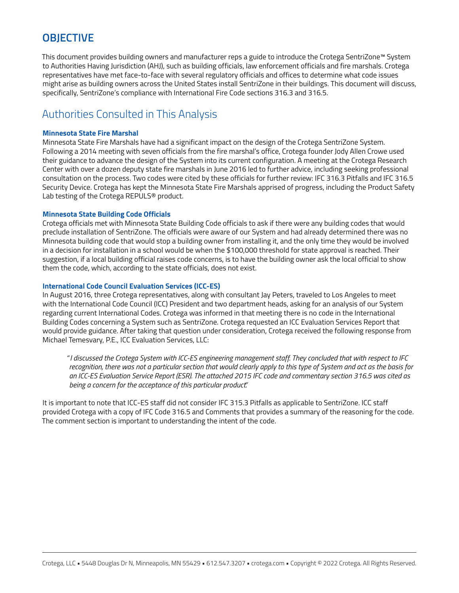# **OBJECTIVE**

This document provides building owners and manufacturer reps a guide to introduce the Crotega SentriZone<sup>™</sup> System to Authorities Having Jurisdiction (AHJ), such as building officials, law enforcement officials and fire marshals. Crotega representatives have met face-to-face with several regulatory officials and offices to determine what code issues might arise as building owners across the United States install SentriZone in their buildings. This document will discuss, specifically, SentriZone's compliance with International Fire Code sections 316.3 and 316.5.

# Authorities Consulted in This Analysis

### **Minnesota State Fire Marshal**

Minnesota State Fire Marshals have had a significant impact on the design of the Crotega SentriZone System. Following a 2014 meeting with seven officials from the fire marshal's office, Crotega founder Jody Allen Crowe used their guidance to advance the design of the System into its current configuration. A meeting at the Crotega Research Center with over a dozen deputy state fire marshals in June 2016 led to further advice, including seeking professional consultation on the process. Two codes were cited by these officials for further review: IFC 316.3 Pitfalls and IFC 316.5 Security Device. Crotega has kept the Minnesota State Fire Marshals apprised of progress, including the Product Safety Lab testing of the Crotega REPULS® product.

### **Minnesota State Building Code Officials**

Crotega officials met with Minnesota State Building Code officials to ask if there were any building codes that would preclude installation of SentriZone. The officials were aware of our System and had already determined there was no Minnesota building code that would stop a building owner from installing it, and the only time they would be involved in a decision for installation in a school would be when the \$100,000 threshold for state approval is reached. Their suggestion, if a local building official raises code concerns, is to have the building owner ask the local official to show them the code, which, according to the state officials, does not exist.

### **International Code Council Evaluation Services (ICC-ES)**

In August 2016, three Crotega representatives, along with consultant Jay Peters, traveled to Los Angeles to meet with the International Code Council (ICC) President and two department heads, asking for an analysis of our System regarding current International Codes. Crotega was informed in that meeting there is no code in the International Building Codes concerning a System such as SentriZone. Crotega requested an ICC Evaluation Services Report that would provide guidance. After taking that question under consideration, Crotega received the following response from Michael Temesvary, P.E., ICC Evaluation Services, LLC:

*"I discussed the Crotega System with ICC-ES engineering management staff. They concluded that with respect to IFC recognition, there was not a particular section that would clearly apply to this type of System and act as the basis for an ICC-ES Evaluation Service Report (ESR). The attached 2015 IFC code and commentary section 316.5 was cited as being a concern for the acceptance of this particular product."*

It is important to note that ICC-ES staff did not consider IFC 315.3 Pitfalls as applicable to SentriZone. ICC staff provided Crotega with a copy of IFC Code 316.5 and Comments that provides a summary of the reasoning for the code. The comment section is important to understanding the intent of the code.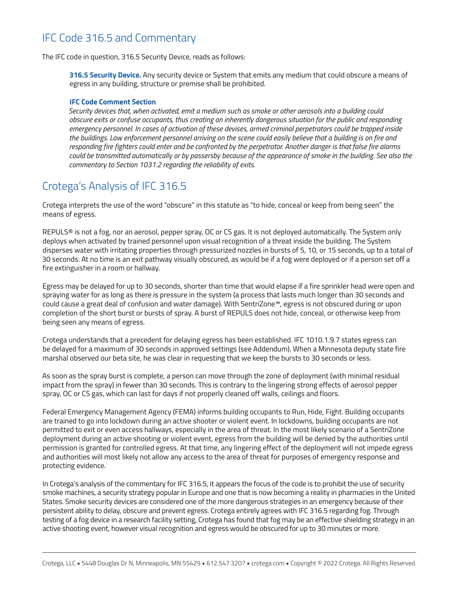# IFC Code 316.5 and Commentary

The IFC code in question, 316.5 Security Device, reads as follows:

**316.5 Security Device.** Any security device or System that emits any medium that could obscure a means of egress in any building, structure or premise shall be prohibited.

#### **IFC Code Comment Section**

*Security devices that, when activated, emit a medium such as smoke or other aerosols into a building could obscure exits or confuse occupants, thus creating an inherently dangerous situation for the public and responding emergency personnel. In cases of activation of these devises, armed criminal perpetrators could be trapped inside the buildings. Law enforcement personnel arriving on the scene could easily believe that a building is on fire and responding fire fighters could enter and be confronted by the perpetrator. Another danger is that false fire alarms could be transmitted automatically or by passersby because of the appearance of smoke in the building. See also the commentary to Section 1031.2 regarding the reliability of exits.* 

## Crotega's Analysis of IFC 316.5

Crotega interprets the use of the word "obscure" in this statute as "to hide, conceal or keep from being seen" the means of egress.

REPULS® is not a fog, nor an aerosol, pepper spray, OC or CS gas. It is not deployed automatically. The System only deploys when activated by trained personnel upon visual recognition of a threat inside the building. The System disperses water with irritating properties through pressurized nozzles in bursts of 5, 10, or 15 seconds, up to a total of 30 seconds. At no time is an exit pathway visually obscured, as would be if a fog were deployed or if a person set off a fire extinguisher in a room or hallway.

Egress may be delayed for up to 30 seconds, shorter than time that would elapse if a fire sprinkler head were open and spraying water for as long as there is pressure in the system (a process that lasts much longer than 30 seconds and could cause a great deal of confusion and water damage). With SentriZone™, egress is not obscured during or upon completion of the short burst or bursts of spray. A burst of REPULS does not hide, conceal, or otherwise keep from being seen any means of egress.

Crotega understands that a precedent for delaying egress has been established. IFC 1010.1.9.7 states egress can be delayed for a maximum of 30 seconds in approved settings (see Addendum). When a Minnesota deputy state fire marshal observed our beta site, he was clear in requesting that we keep the bursts to 30 seconds or less.

As soon as the spray burst is complete, a person can move through the zone of deployment (with minimal residual impact from the spray) in fewer than 30 seconds. This is contrary to the lingering strong effects of aerosol pepper spray, OC or CS gas, which can last for days if not properly cleaned off walls, ceilings and floors.

Federal Emergency Management Agency (FEMA) informs building occupants to Run, Hide, Fight. Building occupants are trained to go into lockdown during an active shooter or violent event. In lockdowns, building occupants are not permitted to exit or even access hallways, especially in the area of threat. In the most likely scenario of a SentriZone deployment during an active shooting or violent event, egress from the building will be denied by the authorities until permission is granted for controlled egress. At that time, any lingering effect of the deployment will not impede egress and authorities will most likely not allow any access to the area of threat for purposes of emergency response and protecting evidence.

In Crotega's analysis of the commentary for IFC 316.5, it appears the focus of the code is to prohibit the use of security smoke machines, a security strategy popular in Europe and one that is now becoming a reality in pharmacies in the United States. Smoke security devices are considered one of the more dangerous strategies in an emergency because of their persistent ability to delay, obscure and prevent egress. Crotega entirely agrees with IFC 316.5 regarding fog. Through testing of a fog device in a research facility setting, Crotega has found that fog may be an effective shielding strategy in an active shooting event, however visual recognition and egress would be obscured for up to 30 minutes or more.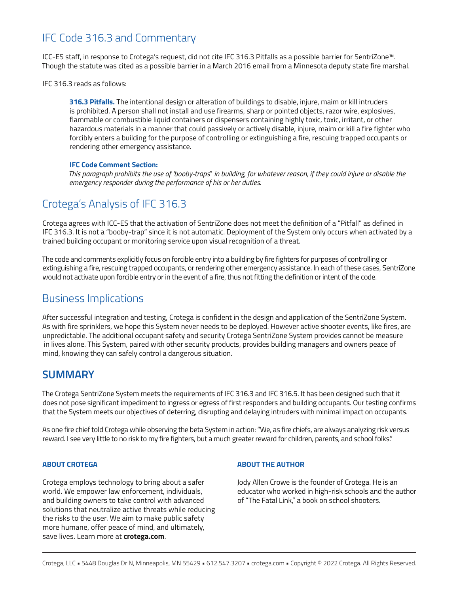# IFC Code 316.3 and Commentary

ICC-ES staff, in response to Crotega's request, did not cite IFC 316.3 Pitfalls as a possible barrier for SentriZone™. Though the statute was cited as a possible barrier in a March 2016 email from a Minnesota deputy state fire marshal.

IFC 316.3 reads as follows:

**316.3 Pitfalls.** The intentional design or alteration of buildings to disable, injure, maim or kill intruders is prohibited. A person shall not install and use firearms, sharp or pointed objects, razor wire, explosives, flammable or combustible liquid containers or dispensers containing highly toxic, toxic, irritant, or other hazardous materials in a manner that could passively or actively disable, injure, maim or kill a fire fighter who forcibly enters a building for the purpose of controlling or extinguishing a fire, rescuing trapped occupants or rendering other emergency assistance.

### **IFC Code Comment Section:**

*This paragraph prohibits the use of 'booby-traps" in building, for whatever reason, if they could injure or disable the emergency responder during the performance of his or her duties.* 

### Crotega's Analysis of IFC 316.3

Crotega agrees with ICC-ES that the activation of SentriZone does not meet the definition of a "Pitfall" as defined in IFC 316.3. It is not a "booby-trap" since it is not automatic. Deployment of the System only occurs when activated by a trained building occupant or monitoring service upon visual recognition of a threat.

The code and comments explicitly focus on forcible entry into a building by fire fighters for purposes of controlling or extinguishing a fire, rescuing trapped occupants, or rendering other emergency assistance. In each of these cases, SentriZone would not activate upon forcible entry or in the event of a fire, thus not fitting the definition or intent of the code.

### Business Implications

After successful integration and testing, Crotega is confident in the design and application of the SentriZone System. As with fire sprinklers, we hope this System never needs to be deployed. However active shooter events, like fires, are unpredictable. The additional occupant safety and security Crotega SentriZone System provides cannot be measure in lives alone. This System, paired with other security products, provides building managers and owners peace of mind, knowing they can safely control a dangerous situation.

### **SUMMARY**

The Crotega SentriZone System meets the requirements of IFC 316.3 and IFC 316.5. It has been designed such that it does not pose significant impediment to ingress or egress of first responders and building occupants. Our testing confirms that the System meets our objectives of deterring, disrupting and delaying intruders with minimal impact on occupants.

As one fire chief told Crotega while observing the beta System in action: "We, as fire chiefs, are always analyzing risk versus reward. I see very little to no risk to my fire fighters, but a much greater reward for children, parents, and school folks."

#### **ABOUT CROTEGA**

Crotega employs technology to bring about a safer world. We empower law enforcement, individuals, and building owners to take control with advanced solutions that neutralize active threats while reducing the risks to the user. We aim to make public safety more humane, offer peace of mind, and ultimately, save lives. Learn more at **crotega.com**.

#### **ABOUT THE AUTHOR**

Jody Allen Crowe is the founder of Crotega. He is an educator who worked in high-risk schools and the author of "The Fatal Link," a book on school shooters.